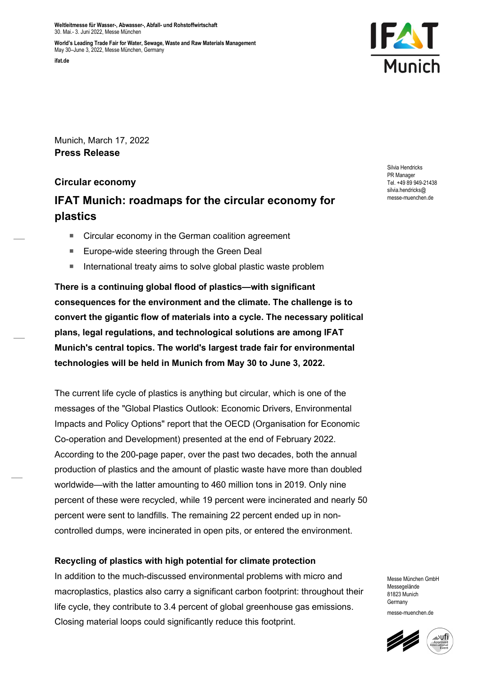Weltleitmesse für Wasser-, Abwasser-, Abfall- und Rohstoffwirtschaft 30. Mai.- 3. Juni 2022, Messe München

World's Leading Trade Fair for Water, Sewage, Waste and Raw Materials Management May 30–June 3, 2022, Messe München, Germany





Munich, March 17, 2022 Press Release

# Circular economy

# IFAT Munich: roadmaps for the circular economy for plastics

- Circular economy in the German coalition agreement
- Europe-wide steering through the Green Deal
- International treaty aims to solve global plastic waste problem

There is a continuing global flood of plastics—with significant consequences for the environment and the climate. The challenge is to convert the gigantic flow of materials into a cycle. The necessary political plans, legal regulations, and technological solutions are among IFAT Munich's central topics. The world's largest trade fair for environmental technologies will be held in Munich from May 30 to June 3, 2022.

The current life cycle of plastics is anything but circular, which is one of the messages of the "Global Plastics Outlook: Economic Drivers, Environmental Impacts and Policy Options" report that the OECD (Organisation for Economic Co-operation and Development) presented at the end of February 2022. According to the 200-page paper, over the past two decades, both the annual production of plastics and the amount of plastic waste have more than doubled worldwide—with the latter amounting to 460 million tons in 2019. Only nine percent of these were recycled, while 19 percent were incinerated and nearly 50 percent were sent to landfills. The remaining 22 percent ended up in noncontrolled dumps, were incinerated in open pits, or entered the environment.

# Recycling of plastics with high potential for climate protection

In addition to the much-discussed environmental problems with micro and macroplastics, plastics also carry a significant carbon footprint: throughout their life cycle, they contribute to 3.4 percent of global greenhouse gas emissions. Closing material loops could significantly reduce this footprint.

Silvia Hendricks PR Manager Tel. +49 89 949-21438 silvia hendricks@ messe-muenchen.de

Messe München GmbH Messenelände 81823 Munich **Germany** messe-muenchen.de

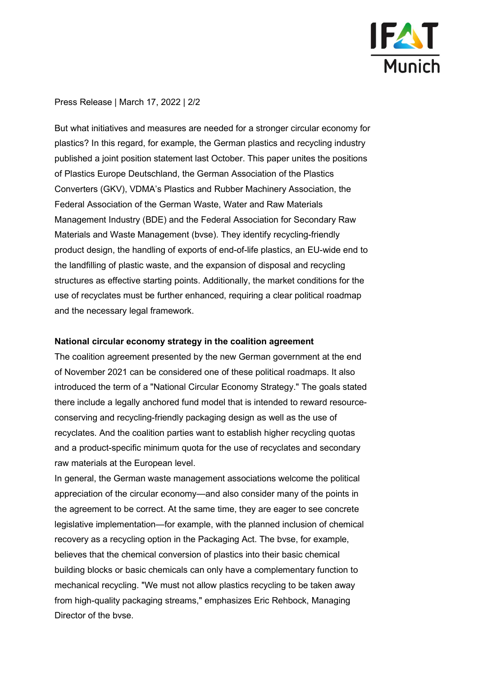

### Press Release | March 17, 2022 | 2/2

But what initiatives and measures are needed for a stronger circular economy for plastics? In this regard, for example, the German plastics and recycling industry published a joint position statement last October. This paper unites the positions of Plastics Europe Deutschland, the German Association of the Plastics Converters (GKV), VDMA's Plastics and Rubber Machinery Association, the Federal Association of the German Waste, Water and Raw Materials Management Industry (BDE) and the Federal Association for Secondary Raw Materials and Waste Management (bvse). They identify recycling-friendly product design, the handling of exports of end-of-life plastics, an EU-wide end to the landfilling of plastic waste, and the expansion of disposal and recycling structures as effective starting points. Additionally, the market conditions for the use of recyclates must be further enhanced, requiring a clear political roadmap and the necessary legal framework.

#### National circular economy strategy in the coalition agreement

The coalition agreement presented by the new German government at the end of November 2021 can be considered one of these political roadmaps. It also introduced the term of a "National Circular Economy Strategy." The goals stated there include a legally anchored fund model that is intended to reward resourceconserving and recycling-friendly packaging design as well as the use of recyclates. And the coalition parties want to establish higher recycling quotas and a product-specific minimum quota for the use of recyclates and secondary raw materials at the European level.

In general, the German waste management associations welcome the political appreciation of the circular economy—and also consider many of the points in the agreement to be correct. At the same time, they are eager to see concrete legislative implementation—for example, with the planned inclusion of chemical recovery as a recycling option in the Packaging Act. The bvse, for example, believes that the chemical conversion of plastics into their basic chemical building blocks or basic chemicals can only have a complementary function to mechanical recycling. "We must not allow plastics recycling to be taken away from high-quality packaging streams," emphasizes Eric Rehbock, Managing Director of the bvse.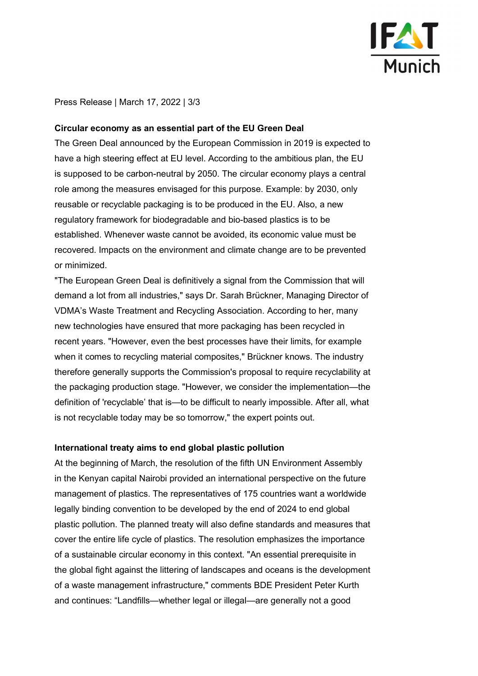

Press Release | March 17, 2022 | 3/3

#### Circular economy as an essential part of the EU Green Deal

The Green Deal announced by the European Commission in 2019 is expected to have a high steering effect at EU level. According to the ambitious plan, the EU is supposed to be carbon-neutral by 2050. The circular economy plays a central role among the measures envisaged for this purpose. Example: by 2030, only reusable or recyclable packaging is to be produced in the EU. Also, a new regulatory framework for biodegradable and bio-based plastics is to be established. Whenever waste cannot be avoided, its economic value must be recovered. Impacts on the environment and climate change are to be prevented or minimized.

"The European Green Deal is definitively a signal from the Commission that will demand a lot from all industries," says Dr. Sarah Brückner, Managing Director of VDMA's Waste Treatment and Recycling Association. According to her, many new technologies have ensured that more packaging has been recycled in recent years. "However, even the best processes have their limits, for example when it comes to recycling material composites," Brückner knows. The industry therefore generally supports the Commission's proposal to require recyclability at the packaging production stage. "However, we consider the implementation—the definition of 'recyclable' that is—to be difficult to nearly impossible. After all, what is not recyclable today may be so tomorrow," the expert points out.

#### International treaty aims to end global plastic pollution

At the beginning of March, the resolution of the fifth UN Environment Assembly in the Kenyan capital Nairobi provided an international perspective on the future management of plastics. The representatives of 175 countries want a worldwide legally binding convention to be developed by the end of 2024 to end global plastic pollution. The planned treaty will also define standards and measures that cover the entire life cycle of plastics. The resolution emphasizes the importance of a sustainable circular economy in this context. "An essential prerequisite in the global fight against the littering of landscapes and oceans is the development of a waste management infrastructure," comments BDE President Peter Kurth and continues: "Landfills—whether legal or illegal—are generally not a good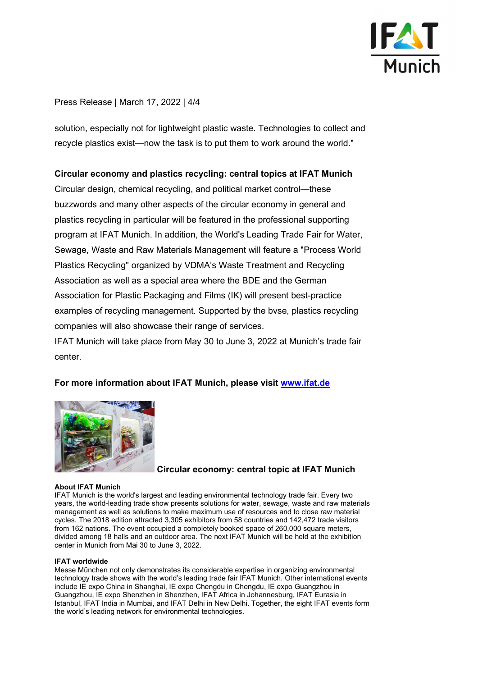

## Press Release | March 17, 2022 | 4/4

solution, especially not for lightweight plastic waste. Technologies to collect and recycle plastics exist—now the task is to put them to work around the world."

### Circular economy and plastics recycling: central topics at IFAT Munich

Circular design, chemical recycling, and political market control—these buzzwords and many other aspects of the circular economy in general and plastics recycling in particular will be featured in the professional supporting program at IFAT Munich. In addition, the World's Leading Trade Fair for Water, Sewage, Waste and Raw Materials Management will feature a "Process World Plastics Recycling" organized by VDMA's Waste Treatment and Recycling Association as well as a special area where the BDE and the German Association for Plastic Packaging and Films (IK) will present best-practice examples of recycling management. Supported by the bvse, plastics recycling companies will also showcase their range of services.

IFAT Munich will take place from May 30 to June 3, 2022 at Munich's trade fair center.

# For more information about IFAT Munich, please visit www.ifat.de



### Circular economy: central topic at IFAT Munich

#### About IFAT Munich

IFAT Munich is the world's largest and leading environmental technology trade fair. Every two years, the world-leading trade show presents solutions for water, sewage, waste and raw materials management as well as solutions to make maximum use of resources and to close raw material cycles. The 2018 edition attracted 3,305 exhibitors from 58 countries and 142,472 trade visitors from 162 nations. The event occupied a completely booked space of 260,000 square meters, divided among 18 halls and an outdoor area. The next IFAT Munich will be held at the exhibition center in Munich from Mai 30 to June 3, 2022.

#### IFAT worldwide

Messe München not only demonstrates its considerable expertise in organizing environmental technology trade shows with the world's leading trade fair IFAT Munich. Other international events include IE expo China in Shanghai, IE expo Chengdu in Chengdu, IE expo Guangzhou in Guangzhou, IE expo Shenzhen in Shenzhen, IFAT Africa in Johannesburg, IFAT Eurasia in Istanbul, IFAT India in Mumbai, and IFAT Delhi in New Delhi. Together, the eight IFAT events form the world's leading network for environmental technologies.